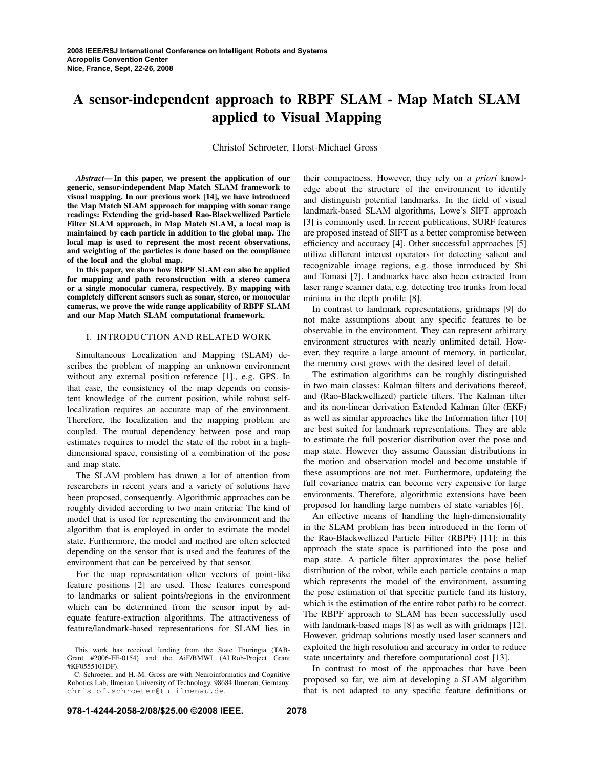# A sensor-independent approach to RBPF SLAM - Map Match SLAM applied to Visual Mapping

Christof Schroeter, Horst-Michael Gross

*Abstract*— In this paper, we present the application of our generic, sensor-independent Map Match SLAM framework to visual mapping. In our previous work [14], we have introduced the Map Match SLAM approach for mapping with sonar range readings: Extending the grid-based Rao-Blackwellized Particle Filter SLAM approach, in Map Match SLAM, a local map is maintained by each particle in addition to the global map. The local map is used to represent the most recent observations, and weighting of the particles is done based on the compliance of the local and the global map.

In this paper, we show how RBPF SLAM can also be applied for mapping and path reconstruction with a stereo camera or a single monocular camera, respectively. By mapping with completely different sensors such as sonar, stereo, or monocular cameras, we prove the wide range applicability of RBPF SLAM and our Map Match SLAM computational framework.

# I. INTRODUCTION AND RELATED WORK

Simultaneous Localization and Mapping (SLAM) describes the problem of mapping an unknown environment without any external position reference [1]., e.g. GPS. In that case, the consistency of the map depends on consistent knowledge of the current position, while robust selflocalization requires an accurate map of the environment. Therefore, the localization and the mapping problem are coupled. The mutual dependency between pose and map estimates requires to model the state of the robot in a highdimensional space, consisting of a combination of the pose and map state.

The SLAM problem has drawn a lot of attention from researchers in recent years and a variety of solutions have been proposed, consequently. Algorithmic approaches can be roughly divided according to two main criteria: The kind of model that is used for representing the environment and the algorithm that is employed in order to estimate the model state. Furthermore, the model and method are often selected depending on the sensor that is used and the features of the environment that can be perceived by that sensor.

For the map representation often vectors of point-like feature positions [2] are used. These features correspond to landmarks or salient points/regions in the environment which can be determined from the sensor input by adequate feature-extraction algorithms. The attractiveness of feature/landmark-based representations for SLAM lies in their compactness. However, they rely on *a priori* knowledge about the structure of the environment to identify and distinguish potential landmarks. In the field of visual landmark-based SLAM algorithms, Lowe's SIFT approach [3] is commonly used. In recent publications, SURF features are proposed instead of SIFT as a better compromise between efficiency and accuracy [4]. Other successful approaches [5] utilize different interest operators for detecting salient and recognizable image regions, e.g. those introduced by Shi and Tomasi [7]. Landmarks have also been extracted from laser range scanner data, e.g. detecting tree trunks from local minima in the depth profile [8].

In contrast to landmark representations, gridmaps [9] do not make assumptions about any specific features to be observable in the environment. They can represent arbitrary environment structures with nearly unlimited detail. However, they require a large amount of memory, in particular, the memory cost grows with the desired level of detail.

The estimation algorithms can be roughly distinguished in two main classes: Kalman filters and derivations thereof, and (Rao-Blackwellized) particle filters. The Kalman filter and its non-linear derivation Extended Kalman filter (EKF) as well as similar approaches like the Information filter [10] are best suited for landmark representations. They are able to estimate the full posterior distribution over the pose and map state. However they assume Gaussian distributions in the motion and observation model and become unstable if these assumptions are not met. Furthermore, updateing the full covariance matrix can become very expensive for large environments. Therefore, algorithmic extensions have been proposed for handling large numbers of state variables [6].

An effective means of handling the high-dimensionality in the SLAM problem has been introduced in the form of the Rao-Blackwellized Particle Filter (RBPF) [11]: in this approach the state space is partitioned into the pose and map state. A particle filter approximates the pose belief distribution of the robot, while each particle contains a map which represents the model of the environment, assuming the pose estimation of that specific particle (and its history, which is the estimation of the entire robot path) to be correct. The RBPF approach to SLAM has been successfully used with landmark-based maps [8] as well as with gridmaps [12]. However, gridmap solutions mostly used laser scanners and exploited the high resolution and accuracy in order to reduce state uncertainty and therefore computational cost [13].

In contrast to most of the approaches that have been proposed so far, we aim at developing a SLAM algorithm that is not adapted to any specific feature definitions or

This work has received funding from the State Thuringia (TAB-Grant #2006-FE-0154) and the AiF/BMWI (ALRob-Project Grant #KF0555101DF).

C. Schroeter, and H.-M. Gross are with Neuroinformatics and Cognitive Robotics Lab, Ilmenau University of Technology, 98684 Ilmenau, Germany. christof.schroeter@tu-ilmenau.de.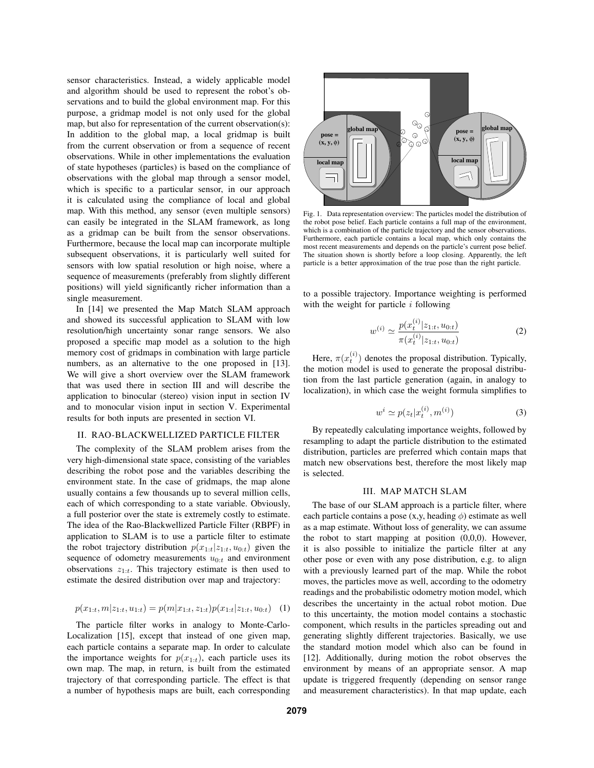sensor characteristics. Instead, a widely applicable model and algorithm should be used to represent the robot's observations and to build the global environment map. For this purpose, a gridmap model is not only used for the global map, but also for representation of the current observation(s): In addition to the global map, a local gridmap is built from the current observation or from a sequence of recent observations. While in other implementations the evaluation of state hypotheses (particles) is based on the compliance of observations with the global map through a sensor model, which is specific to a particular sensor, in our approach it is calculated using the compliance of local and global map. With this method, any sensor (even multiple sensors) can easily be integrated in the SLAM framework, as long as a gridmap can be built from the sensor observations. Furthermore, because the local map can incorporate multiple subsequent observations, it is particularly well suited for sensors with low spatial resolution or high noise, where a sequence of measurements (preferably from slightly different positions) will yield significantly richer information than a single measurement.

In [14] we presented the Map Match SLAM approach and showed its successful application to SLAM with low resolution/high uncertainty sonar range sensors. We also proposed a specific map model as a solution to the high memory cost of gridmaps in combination with large particle numbers, as an alternative to the one proposed in [13]. We will give a short overview over the SLAM framework that was used there in section III and will describe the application to binocular (stereo) vision input in section IV and to monocular vision input in section V. Experimental results for both inputs are presented in section VI.

#### II. RAO-BLACKWELLIZED PARTICLE FILTER

The complexity of the SLAM problem arises from the very high-dimensional state space, consisting of the variables describing the robot pose and the variables describing the environment state. In the case of gridmaps, the map alone usually contains a few thousands up to several million cells, each of which corresponding to a state variable. Obviously, a full posterior over the state is extremely costly to estimate. The idea of the Rao-Blackwellized Particle Filter (RBPF) in application to SLAM is to use a particle filter to estimate the robot trajectory distribution  $p(x_{1:t}|z_{1:t}, u_{0:t})$  given the sequence of odometry measurements  $u_{0:t}$  and environment observations  $z_{1:t}$ . This trajectory estimate is then used to estimate the desired distribution over map and trajectory:

$$
p(x_{1:t}, m|z_{1:t}, u_{1:t}) = p(m|x_{1:t}, z_{1:t})p(x_{1:t}|z_{1:t}, u_{0:t}) \quad (1)
$$

The particle filter works in analogy to Monte-Carlo-Localization [15], except that instead of one given map, each particle contains a separate map. In order to calculate the importance weights for  $p(x_{1:t})$ , each particle uses its own map. The map, in return, is built from the estimated trajectory of that corresponding particle. The effect is that a number of hypothesis maps are built, each corresponding



Fig. 1. Data representation overview: The particles model the distribution of the robot pose belief. Each particle contains a full map of the environment, which is a combination of the particle trajectory and the sensor observations. Furthermore, each particle contains a local map, which only contains the most recent measurements and depends on the particle's current pose belief. The situation shown is shortly before a loop closing. Apparently, the left particle is a better approximation of the true pose than the right particle.

to a possible trajectory. Importance weighting is performed with the weight for particle  $i$  following

$$
w^{(i)} \simeq \frac{p(x_t^{(i)}|z_{1:t}, u_{0:t})}{\pi(x_t^{(i)}|z_{1:t}, u_{0:t})}
$$
 (2)

Here,  $\pi(x_t^{(i)})$  denotes the proposal distribution. Typically, the motion model is used to generate the proposal distribution from the last particle generation (again, in analogy to localization), in which case the weight formula simplifies to

$$
w^i \simeq p(z_t|x_t^{(i)}, m^{(i)}) \tag{3}
$$

By repeatedly calculating importance weights, followed by resampling to adapt the particle distribution to the estimated distribution, particles are preferred which contain maps that match new observations best, therefore the most likely map is selected.

## III. MAP MATCH SLAM

The base of our SLAM approach is a particle filter, where each particle contains a pose  $(x, y, heading \phi)$  estimate as well as a map estimate. Without loss of generality, we can assume the robot to start mapping at position (0,0,0). However, it is also possible to initialize the particle filter at any other pose or even with any pose distribution, e.g. to align with a previously learned part of the map. While the robot moves, the particles move as well, according to the odometry readings and the probabilistic odometry motion model, which describes the uncertainty in the actual robot motion. Due to this uncertainty, the motion model contains a stochastic component, which results in the particles spreading out and generating slightly different trajectories. Basically, we use the standard motion model which also can be found in [12]. Additionally, during motion the robot observes the environment by means of an appropriate sensor. A map update is triggered frequently (depending on sensor range and measurement characteristics). In that map update, each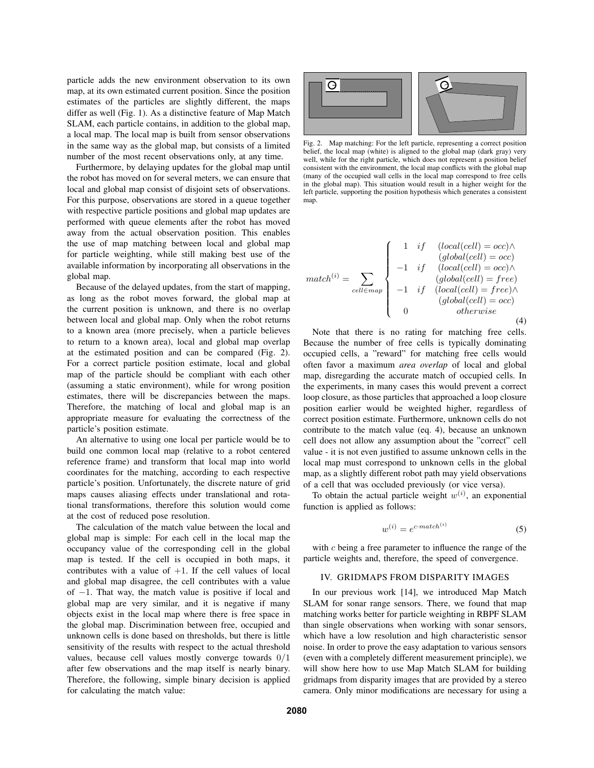particle adds the new environment observation to its own map, at its own estimated current position. Since the position estimates of the particles are slightly different, the maps differ as well (Fig. 1). As a distinctive feature of Map Match SLAM, each particle contains, in addition to the global map, a local map. The local map is built from sensor observations in the same way as the global map, but consists of a limited number of the most recent observations only, at any time.

Furthermore, by delaying updates for the global map until the robot has moved on for several meters, we can ensure that local and global map consist of disjoint sets of observations. For this purpose, observations are stored in a queue together with respective particle positions and global map updates are performed with queue elements after the robot has moved away from the actual observation position. This enables the use of map matching between local and global map for particle weighting, while still making best use of the available information by incorporating all observations in the global map.

Because of the delayed updates, from the start of mapping, as long as the robot moves forward, the global map at the current position is unknown, and there is no overlap between local and global map. Only when the robot returns to a known area (more precisely, when a particle believes to return to a known area), local and global map overlap at the estimated position and can be compared (Fig. 2). For a correct particle position estimate, local and global map of the particle should be compliant with each other (assuming a static environment), while for wrong position estimates, there will be discrepancies between the maps. Therefore, the matching of local and global map is an appropriate measure for evaluating the correctness of the particle's position estimate.

An alternative to using one local per particle would be to build one common local map (relative to a robot centered reference frame) and transform that local map into world coordinates for the matching, according to each respective particle's position. Unfortunately, the discrete nature of grid maps causes aliasing effects under translational and rotational transformations, therefore this solution would come at the cost of reduced pose resolution.

The calculation of the match value between the local and global map is simple: For each cell in the local map the occupancy value of the corresponding cell in the global map is tested. If the cell is occupied in both maps, it contributes with a value of  $+1$ . If the cell values of local and global map disagree, the cell contributes with a value of −1. That way, the match value is positive if local and global map are very similar, and it is negative if many objects exist in the local map where there is free space in the global map. Discrimination between free, occupied and unknown cells is done based on thresholds, but there is little sensitivity of the results with respect to the actual threshold values, because cell values mostly converge towards 0/1 after few observations and the map itself is nearly binary. Therefore, the following, simple binary decision is applied for calculating the match value:



Fig. 2. Map matching: For the left particle, representing a correct position belief, the local map (white) is aligned to the global map (dark gray) very well, while for the right particle, which does not represent a position belief consistent with the environment, the local map conflicts with the global map (many of the occupied wall cells in the local map correspond to free cells in the global map). This situation would result in a higher weight for the left particle, supporting the position hypothesis which generates a consistent map.

$$
match(i) = \sum_{cell \in map} \begin{cases} 1 & if \quad (local(cell) = occ) \land \\ & (global(cell) = occ) \\ -1 & if \quad (local(cell) = occ) \land \\ & (global(cell) = free) \land \\ -1 & if \quad (local(cell) = free) \land \\ & (global(cell) = occ) \\ 0 & otherwise \end{cases}
$$
(4)

Note that there is no rating for matching free cells. Because the number of free cells is typically dominating occupied cells, a "reward" for matching free cells would often favor a maximum *area overlap* of local and global map, disregarding the accurate match of occupied cells. In the experiments, in many cases this would prevent a correct loop closure, as those particles that approached a loop closure position earlier would be weighted higher, regardless of correct position estimate. Furthermore, unknown cells do not contribute to the match value (eq. 4), because an unknown cell does not allow any assumption about the "correct" cell value - it is not even justified to assume unknown cells in the local map must correspond to unknown cells in the global map, as a slightly different robot path may yield observations of a cell that was occluded previously (or vice versa).

To obtain the actual particle weight  $w^{(i)}$ , an exponential function is applied as follows:

$$
w^{(i)} = e^{c \cdot match^{(i)}} \tag{5}
$$

with  $c$  being a free parameter to influence the range of the particle weights and, therefore, the speed of convergence.

### IV. GRIDMAPS FROM DISPARITY IMAGES

In our previous work [14], we introduced Map Match SLAM for sonar range sensors. There, we found that map matching works better for particle weighting in RBPF SLAM than single observations when working with sonar sensors, which have a low resolution and high characteristic sensor noise. In order to prove the easy adaptation to various sensors (even with a completely different measurement principle), we will show here how to use Map Match SLAM for building gridmaps from disparity images that are provided by a stereo camera. Only minor modifications are necessary for using a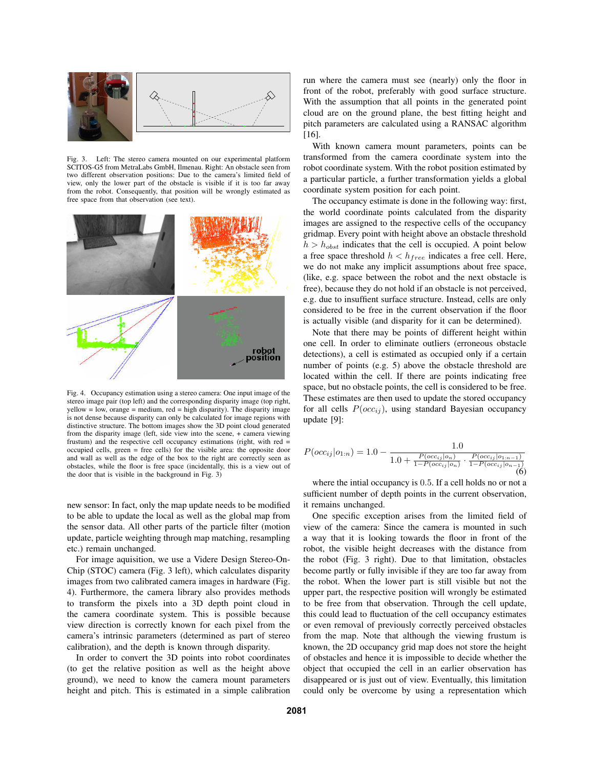

Fig. 3. Left: The stereo camera mounted on our experimental platform SCITOS-G5 from MetraLabs GmbH, Ilmenau. Right: An obstacle seen from two different observation positions: Due to the camera's limited field of view, only the lower part of the obstacle is visible if it is too far away from the robot. Consequently, that position will be wrongly estimated as free space from that observation (see text).



Fig. 4. Occupancy estimation using a stereo camera: One input image of the stereo image pair (top left) and the corresponding disparity image (top right,  $yellow = low$ , orange = medium, red = high disparity). The disparity image is not dense because disparity can only be calculated for image regions with distinctive structure. The bottom images show the 3D point cloud generated from the disparity image (left, side view into the scene, + camera viewing frustum) and the respective cell occupancy estimations (right, with red =  $occupied cells, green = free cells)$  for the visible area: the opposite door and wall as well as the edge of the box to the right are correctly seen as obstacles, while the floor is free space (incidentally, this is a view out of the door that is visible in the background in Fig. 3)

new sensor: In fact, only the map update needs to be modified to be able to update the local as well as the global map from the sensor data. All other parts of the particle filter (motion update, particle weighting through map matching, resampling etc.) remain unchanged.

For image aquisition, we use a Videre Design Stereo-On-Chip (STOC) camera (Fig. 3 left), which calculates disparity images from two calibrated camera images in hardware (Fig. 4). Furthermore, the camera library also provides methods to transform the pixels into a 3D depth point cloud in the camera coordinate system. This is possible because view direction is correctly known for each pixel from the camera's intrinsic parameters (determined as part of stereo calibration), and the depth is known through disparity.

In order to convert the 3D points into robot coordinates (to get the relative position as well as the height above ground), we need to know the camera mount parameters height and pitch. This is estimated in a simple calibration run where the camera must see (nearly) only the floor in front of the robot, preferably with good surface structure. With the assumption that all points in the generated point cloud are on the ground plane, the best fitting height and pitch parameters are calculated using a RANSAC algorithm [16].

With known camera mount parameters, points can be transformed from the camera coordinate system into the robot coordinate system. With the robot position estimated by a particular particle, a further transformation yields a global coordinate system position for each point.

The occupancy estimate is done in the following way: first, the world coordinate points calculated from the disparity images are assigned to the respective cells of the occupancy gridmap. Every point with height above an obstacle threshold  $h > h_{obst}$  indicates that the cell is occupied. A point below a free space threshold  $h < h_{free}$  indicates a free cell. Here, we do not make any implicit assumptions about free space, (like, e.g. space between the robot and the next obstacle is free), because they do not hold if an obstacle is not perceived, e.g. due to insuffient surface structure. Instead, cells are only considered to be free in the current observation if the floor is actually visible (and disparity for it can be determined).

Note that there may be points of different height within one cell. In order to eliminate outliers (erroneous obstacle detections), a cell is estimated as occupied only if a certain number of points (e.g. 5) above the obstacle threshold are located within the cell. If there are points indicating free space, but no obstacle points, the cell is considered to be free. These estimates are then used to update the stored occupancy for all cells  $P(occ_{ii})$ , using standard Bayesian occupancy update [9]:

$$
P(occ_{ij}|o_{1:n}) = 1.0 - \frac{1.0}{1.0 + \frac{P(occ_{ij}|o_n)}{1 - P(occ_{ij}|o_n)} \cdot \frac{P(occ_{ij}|o_{1:n-1})}{1 - P(occ_{ij}|o_{n-1})}}
$$
(6)

where the intial occupancy is 0.5. If a cell holds no or not a sufficient number of depth points in the current observation, it remains unchanged.

One specific exception arises from the limited field of view of the camera: Since the camera is mounted in such a way that it is looking towards the floor in front of the robot, the visible height decreases with the distance from the robot (Fig. 3 right). Due to that limitation, obstacles become partly or fully invisible if they are too far away from the robot. When the lower part is still visible but not the upper part, the respective position will wrongly be estimated to be free from that observation. Through the cell update, this could lead to fluctuation of the cell occupancy estimates or even removal of previously correctly perceived obstacles from the map. Note that although the viewing frustum is known, the 2D occupancy grid map does not store the height of obstacles and hence it is impossible to decide whether the object that occupied the cell in an earlier observation has disappeared or is just out of view. Eventually, this limitation could only be overcome by using a representation which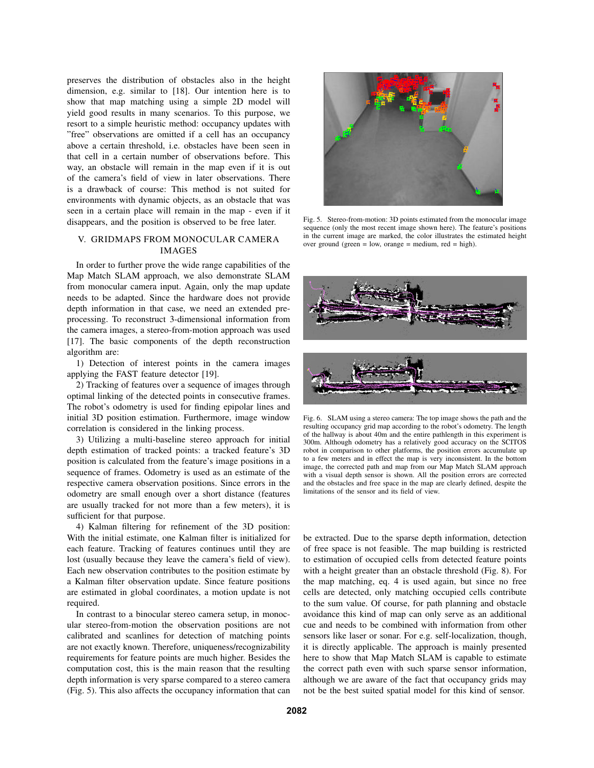preserves the distribution of obstacles also in the height dimension, e.g. similar to [18]. Our intention here is to show that map matching using a simple 2D model will yield good results in many scenarios. To this purpose, we resort to a simple heuristic method: occupancy updates with "free" observations are omitted if a cell has an occupancy above a certain threshold, i.e. obstacles have been seen in that cell in a certain number of observations before. This way, an obstacle will remain in the map even if it is out of the camera's field of view in later observations. There is a drawback of course: This method is not suited for environments with dynamic objects, as an obstacle that was seen in a certain place will remain in the map - even if it disappears, and the position is observed to be free later.

# V. GRIDMAPS FROM MONOCULAR CAMERA IMAGES

In order to further prove the wide range capabilities of the Map Match SLAM approach, we also demonstrate SLAM from monocular camera input. Again, only the map update needs to be adapted. Since the hardware does not provide depth information in that case, we need an extended preprocessing. To reconstruct 3-dimensional information from the camera images, a stereo-from-motion approach was used [17]. The basic components of the depth reconstruction algorithm are:

1) Detection of interest points in the camera images applying the FAST feature detector [19].

2) Tracking of features over a sequence of images through optimal linking of the detected points in consecutive frames. The robot's odometry is used for finding epipolar lines and initial 3D position estimation. Furthermore, image window correlation is considered in the linking process.

3) Utilizing a multi-baseline stereo approach for initial depth estimation of tracked points: a tracked feature's 3D position is calculated from the feature's image positions in a sequence of frames. Odometry is used as an estimate of the respective camera observation positions. Since errors in the odometry are small enough over a short distance (features are usually tracked for not more than a few meters), it is sufficient for that purpose.

4) Kalman filtering for refinement of the 3D position: With the initial estimate, one Kalman filter is initialized for each feature. Tracking of features continues until they are lost (usually because they leave the camera's field of view). Each new observation contributes to the position estimate by a Kalman filter observation update. Since feature positions are estimated in global coordinates, a motion update is not required.

In contrast to a binocular stereo camera setup, in monocular stereo-from-motion the observation positions are not calibrated and scanlines for detection of matching points are not exactly known. Therefore, uniqueness/recognizability requirements for feature points are much higher. Besides the computation cost, this is the main reason that the resulting depth information is very sparse compared to a stereo camera (Fig. 5). This also affects the occupancy information that can



Fig. 5. Stereo-from-motion: 3D points estimated from the monocular image sequence (only the most recent image shown here). The feature's positions in the current image are marked, the color illustrates the estimated height over ground (green = low, orange = medium, red = high).



Fig. 6. SLAM using a stereo camera: The top image shows the path and the resulting occupancy grid map according to the robot's odometry. The length of the hallway is about 40m and the entire pathlength in this experiment is 300m. Although odometry has a relatively good accuracy on the SCITOS robot in comparison to other platforms, the position errors accumulate up to a few meters and in effect the map is very inconsistent. In the bottom image, the corrected path and map from our Map Match SLAM approach with a visual depth sensor is shown. All the position errors are corrected and the obstacles and free space in the map are clearly defined, despite the limitations of the sensor and its field of view.

be extracted. Due to the sparse depth information, detection of free space is not feasible. The map building is restricted to estimation of occupied cells from detected feature points with a height greater than an obstacle threshold (Fig. 8). For the map matching, eq. 4 is used again, but since no free cells are detected, only matching occupied cells contribute to the sum value. Of course, for path planning and obstacle avoidance this kind of map can only serve as an additional cue and needs to be combined with information from other sensors like laser or sonar. For e.g. self-localization, though, it is directly applicable. The approach is mainly presented here to show that Map Match SLAM is capable to estimate the correct path even with such sparse sensor information, although we are aware of the fact that occupancy grids may not be the best suited spatial model for this kind of sensor.